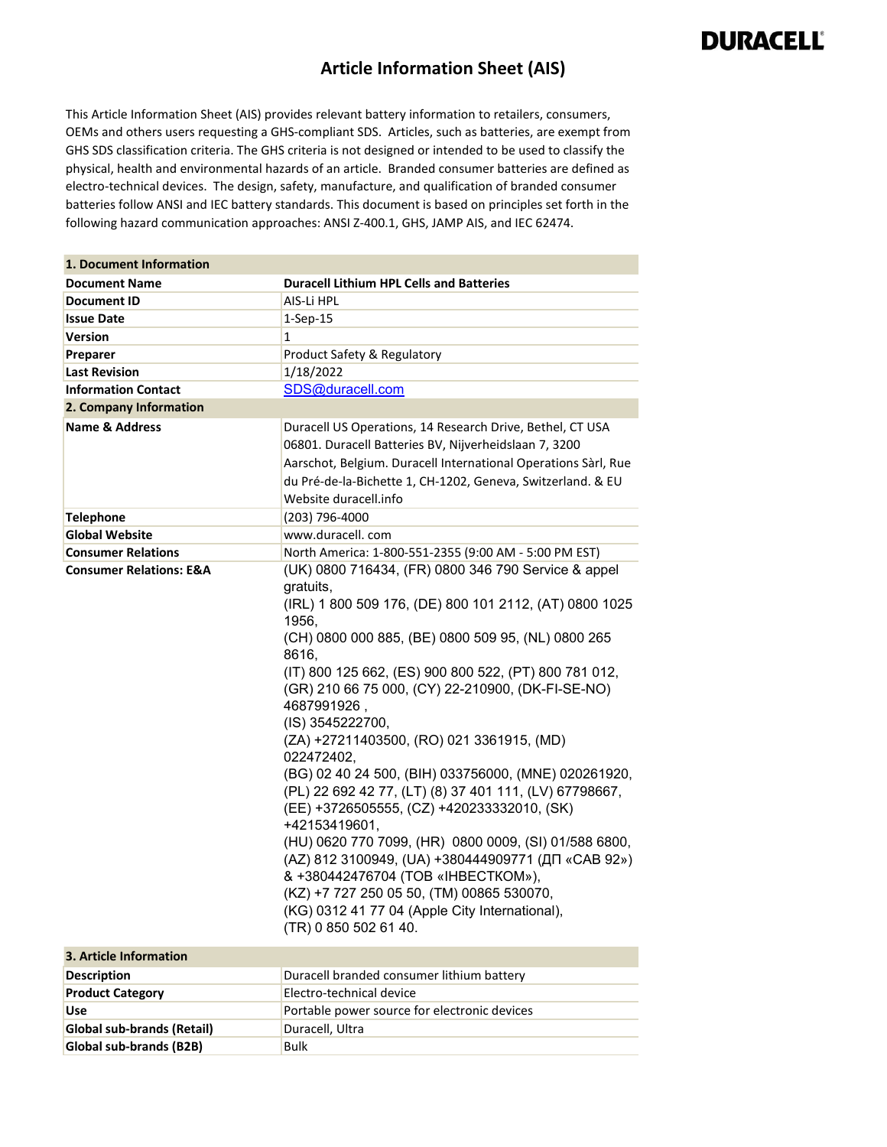#### **Article Information Sheet (AIS)**

This Article Information Sheet (AIS) provides relevant battery information to retailers, consumers, OEMs and others users requesting a GHS-compliant SDS. Articles, such as batteries, are exempt from GHS SDS classification criteria. The GHS criteria is not designed or intended to be used to classify the physical, health and environmental hazards of an article. Branded consumer batteries are defined as electro-technical devices. The design, safety, manufacture, and qualification of branded consumer batteries follow ANSI and IEC battery standards. This document is based on principles set forth in the following hazard communication approaches: ANSI Z-400.1, GHS, JAMP AIS, and IEC 62474.

| 1. Document Information            |                                                                                                                                                                                                                                                                                                                                                                                                                                                                                                                                                                                                                                                                                                                                                                                                                                                                              |
|------------------------------------|------------------------------------------------------------------------------------------------------------------------------------------------------------------------------------------------------------------------------------------------------------------------------------------------------------------------------------------------------------------------------------------------------------------------------------------------------------------------------------------------------------------------------------------------------------------------------------------------------------------------------------------------------------------------------------------------------------------------------------------------------------------------------------------------------------------------------------------------------------------------------|
| <b>Document Name</b>               | <b>Duracell Lithium HPL Cells and Batteries</b>                                                                                                                                                                                                                                                                                                                                                                                                                                                                                                                                                                                                                                                                                                                                                                                                                              |
| Document ID                        | AIS-Li HPL                                                                                                                                                                                                                                                                                                                                                                                                                                                                                                                                                                                                                                                                                                                                                                                                                                                                   |
| <b>Issue Date</b>                  | $1-Sep-15$                                                                                                                                                                                                                                                                                                                                                                                                                                                                                                                                                                                                                                                                                                                                                                                                                                                                   |
| <b>Version</b>                     | 1                                                                                                                                                                                                                                                                                                                                                                                                                                                                                                                                                                                                                                                                                                                                                                                                                                                                            |
| Preparer                           | Product Safety & Regulatory                                                                                                                                                                                                                                                                                                                                                                                                                                                                                                                                                                                                                                                                                                                                                                                                                                                  |
| <b>Last Revision</b>               | 1/18/2022                                                                                                                                                                                                                                                                                                                                                                                                                                                                                                                                                                                                                                                                                                                                                                                                                                                                    |
| <b>Information Contact</b>         | SDS@duracell.com                                                                                                                                                                                                                                                                                                                                                                                                                                                                                                                                                                                                                                                                                                                                                                                                                                                             |
| 2. Company Information             |                                                                                                                                                                                                                                                                                                                                                                                                                                                                                                                                                                                                                                                                                                                                                                                                                                                                              |
| <b>Name &amp; Address</b>          | Duracell US Operations, 14 Research Drive, Bethel, CT USA<br>06801. Duracell Batteries BV, Nijverheidslaan 7, 3200<br>Aarschot, Belgium. Duracell International Operations Sàrl, Rue<br>du Pré-de-la-Bichette 1, CH-1202, Geneva, Switzerland. & EU<br>Website duracell.info                                                                                                                                                                                                                                                                                                                                                                                                                                                                                                                                                                                                 |
| <b>Telephone</b>                   | (203) 796-4000                                                                                                                                                                                                                                                                                                                                                                                                                                                                                                                                                                                                                                                                                                                                                                                                                                                               |
| <b>Global Website</b>              | www.duracell.com                                                                                                                                                                                                                                                                                                                                                                                                                                                                                                                                                                                                                                                                                                                                                                                                                                                             |
| <b>Consumer Relations</b>          | North America: 1-800-551-2355 (9:00 AM - 5:00 PM EST)                                                                                                                                                                                                                                                                                                                                                                                                                                                                                                                                                                                                                                                                                                                                                                                                                        |
| <b>Consumer Relations: E&amp;A</b> | (UK) 0800 716434, (FR) 0800 346 790 Service & appel<br>gratuits,<br>(IRL) 1 800 509 176, (DE) 800 101 2112, (AT) 0800 1025<br>1956,<br>(CH) 0800 000 885, (BE) 0800 509 95, (NL) 0800 265<br>8616,<br>(IT) 800 125 662, (ES) 900 800 522, (PT) 800 781 012,<br>(GR) 210 66 75 000, (CY) 22-210900, (DK-FI-SE-NO)<br>4687991926,<br>(IS) 3545222700,<br>(ZA) +27211403500, (RO) 021 3361915, (MD)<br>022472402,<br>(BG) 02 40 24 500, (BIH) 033756000, (MNE) 020261920,<br>(PL) 22 692 42 77, (LT) (8) 37 401 111, (LV) 67798667,<br>(EE) +3726505555, (CZ) +420233332010, (SK)<br>+42153419601,<br>(HU) 0620 770 7099, (HR) 0800 0009, (SI) 01/588 6800,<br>(AZ) 812 3100949, (UA) +380444909771 (ДП «САВ 92»)<br>& +380442476704 (TOB «IHBECTKOM»),<br>(KZ) +7 727 250 05 50, (TM) 00865 530070,<br>(KG) 0312 41 77 04 (Apple City International),<br>(TR) 0 850 502 61 40. |
| 3. Article Information             |                                                                                                                                                                                                                                                                                                                                                                                                                                                                                                                                                                                                                                                                                                                                                                                                                                                                              |
| <b>Description</b>                 | Duracell branded consumer lithium battery                                                                                                                                                                                                                                                                                                                                                                                                                                                                                                                                                                                                                                                                                                                                                                                                                                    |
| <b>Product Category</b>            | Electro-technical device                                                                                                                                                                                                                                                                                                                                                                                                                                                                                                                                                                                                                                                                                                                                                                                                                                                     |
| <b>Use</b>                         | Portable power source for electronic devices                                                                                                                                                                                                                                                                                                                                                                                                                                                                                                                                                                                                                                                                                                                                                                                                                                 |
| <b>Global sub-brands (Retail)</b>  | Duracell, Ultra                                                                                                                                                                                                                                                                                                                                                                                                                                                                                                                                                                                                                                                                                                                                                                                                                                                              |
| Global sub-brands (B2B)            | <b>Bulk</b>                                                                                                                                                                                                                                                                                                                                                                                                                                                                                                                                                                                                                                                                                                                                                                                                                                                                  |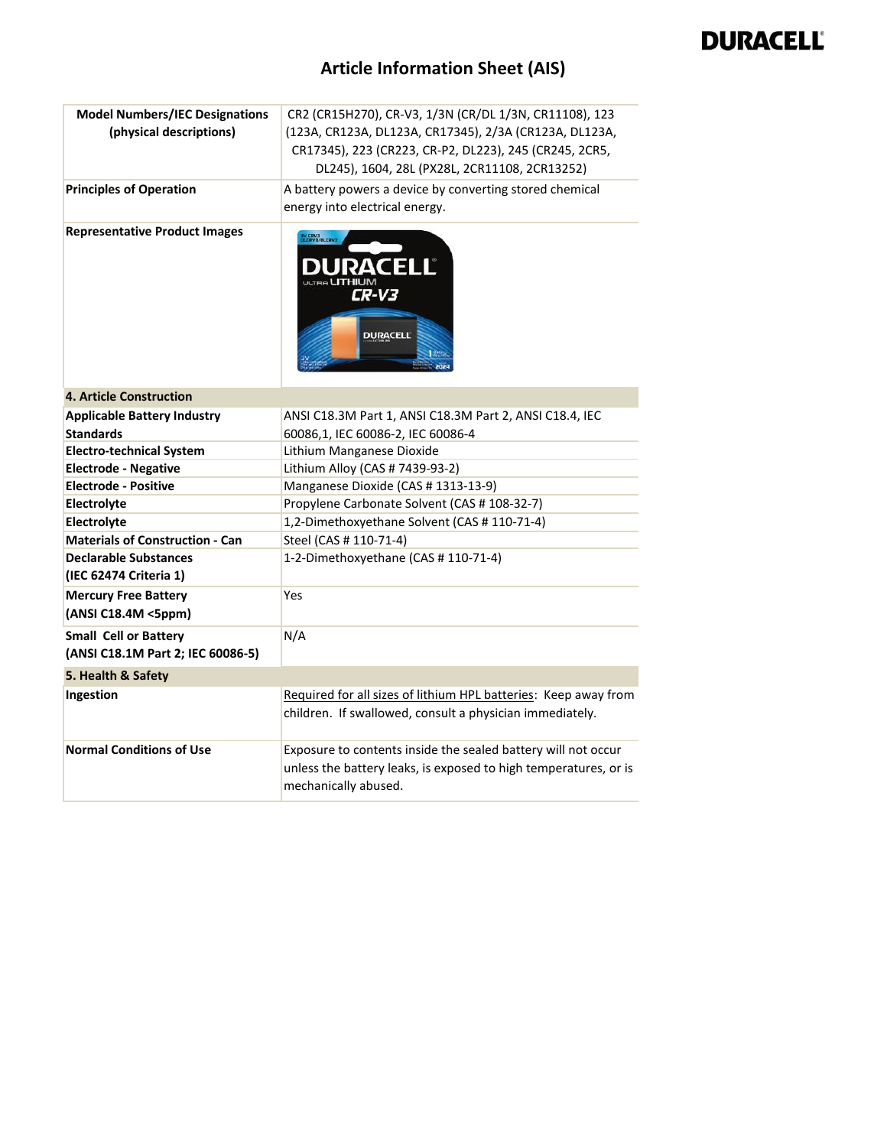| <b>Model Numbers/IEC Designations</b>                             | CR2 (CR15H270), CR-V3, 1/3N (CR/DL 1/3N, CR11108), 123                                                                                                    |
|-------------------------------------------------------------------|-----------------------------------------------------------------------------------------------------------------------------------------------------------|
| (physical descriptions)                                           | (123A, CR123A, DL123A, CR17345), 2/3A (CR123A, DL123A,                                                                                                    |
|                                                                   | CR17345), 223 (CR223, CR-P2, DL223), 245 (CR245, 2CR5,                                                                                                    |
|                                                                   | DL245), 1604, 28L (PX28L, 2CR11108, 2CR13252)                                                                                                             |
| <b>Principles of Operation</b>                                    | A battery powers a device by converting stored chemical                                                                                                   |
|                                                                   | energy into electrical energy.                                                                                                                            |
| <b>Representative Product Images</b>                              | <b>BV CRV3</b><br>DLERV B/BLERV3<br>CR-V3<br><b>DURACELL</b>                                                                                              |
| <b>4. Article Construction</b>                                    |                                                                                                                                                           |
| <b>Applicable Battery Industry</b>                                | ANSI C18.3M Part 1, ANSI C18.3M Part 2, ANSI C18.4, IEC                                                                                                   |
| <b>Standards</b>                                                  | 60086,1, IEC 60086-2, IEC 60086-4                                                                                                                         |
| <b>Electro-technical System</b>                                   | Lithium Manganese Dioxide                                                                                                                                 |
| <b>Electrode - Negative</b>                                       | Lithium Alloy (CAS # 7439-93-2)                                                                                                                           |
| <b>Electrode - Positive</b>                                       | Manganese Dioxide (CAS # 1313-13-9)                                                                                                                       |
| Electrolyte                                                       | Propylene Carbonate Solvent (CAS # 108-32-7)                                                                                                              |
| Electrolyte                                                       | 1,2-Dimethoxyethane Solvent (CAS # 110-71-4)                                                                                                              |
| <b>Materials of Construction - Can</b>                            | Steel (CAS # 110-71-4)                                                                                                                                    |
| <b>Declarable Substances</b><br>(IEC 62474 Criteria 1)            | 1-2-Dimethoxyethane (CAS #110-71-4)                                                                                                                       |
| <b>Mercury Free Battery</b><br>(ANSI C18.4M <5ppm)                | Yes                                                                                                                                                       |
| <b>Small Cell or Battery</b><br>(ANSI C18.1M Part 2; IEC 60086-5) | N/A                                                                                                                                                       |
| 5. Health & Safety                                                |                                                                                                                                                           |
| Ingestion                                                         | Required for all sizes of lithium HPL batteries: Keep away from<br>children. If swallowed, consult a physician immediately.                               |
| <b>Normal Conditions of Use</b>                                   | Exposure to contents inside the sealed battery will not occur<br>unless the battery leaks, is exposed to high temperatures, or is<br>mechanically abused. |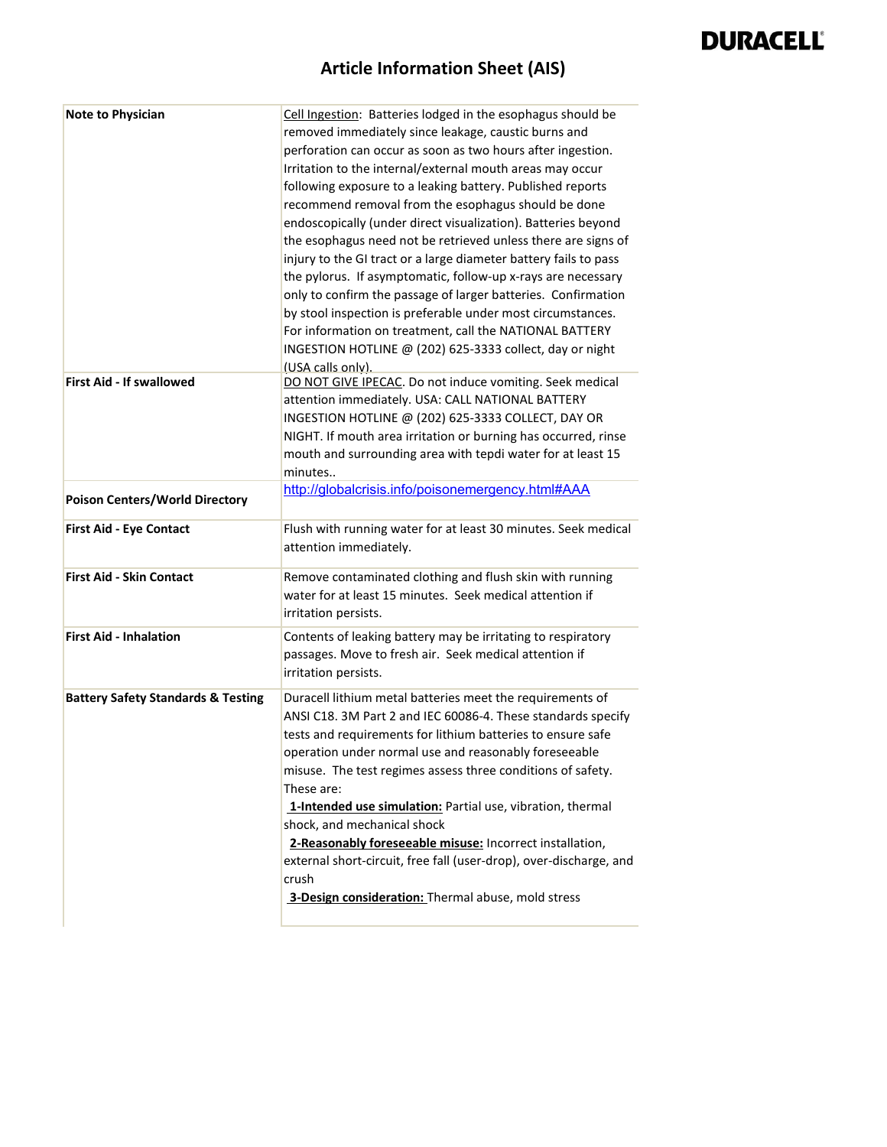| <b>Note to Physician</b>                      | Cell Ingestion: Batteries lodged in the esophagus should be<br>removed immediately since leakage, caustic burns and<br>perforation can occur as soon as two hours after ingestion.<br>Irritation to the internal/external mouth areas may occur<br>following exposure to a leaking battery. Published reports<br>recommend removal from the esophagus should be done<br>endoscopically (under direct visualization). Batteries beyond<br>the esophagus need not be retrieved unless there are signs of<br>injury to the GI tract or a large diameter battery fails to pass<br>the pylorus. If asymptomatic, follow-up x-rays are necessary<br>only to confirm the passage of larger batteries. Confirmation<br>by stool inspection is preferable under most circumstances.<br>For information on treatment, call the NATIONAL BATTERY<br>INGESTION HOTLINE @ (202) 625-3333 collect, day or night<br>(USA calls only). |
|-----------------------------------------------|------------------------------------------------------------------------------------------------------------------------------------------------------------------------------------------------------------------------------------------------------------------------------------------------------------------------------------------------------------------------------------------------------------------------------------------------------------------------------------------------------------------------------------------------------------------------------------------------------------------------------------------------------------------------------------------------------------------------------------------------------------------------------------------------------------------------------------------------------------------------------------------------------------------------|
| <b>First Aid - If swallowed</b>               | DO NOT GIVE IPECAC. Do not induce vomiting. Seek medical<br>attention immediately. USA: CALL NATIONAL BATTERY<br>INGESTION HOTLINE @ (202) 625-3333 COLLECT, DAY OR<br>NIGHT. If mouth area irritation or burning has occurred, rinse<br>mouth and surrounding area with tepdi water for at least 15<br>minutes                                                                                                                                                                                                                                                                                                                                                                                                                                                                                                                                                                                                        |
| <b>Poison Centers/World Directory</b>         | http://globalcrisis.info/poisonemergency.html#AAA                                                                                                                                                                                                                                                                                                                                                                                                                                                                                                                                                                                                                                                                                                                                                                                                                                                                      |
| <b>First Aid - Eye Contact</b>                | Flush with running water for at least 30 minutes. Seek medical<br>attention immediately.                                                                                                                                                                                                                                                                                                                                                                                                                                                                                                                                                                                                                                                                                                                                                                                                                               |
| <b>First Aid - Skin Contact</b>               | Remove contaminated clothing and flush skin with running<br>water for at least 15 minutes. Seek medical attention if<br>irritation persists.                                                                                                                                                                                                                                                                                                                                                                                                                                                                                                                                                                                                                                                                                                                                                                           |
| <b>First Aid - Inhalation</b>                 | Contents of leaking battery may be irritating to respiratory<br>passages. Move to fresh air. Seek medical attention if<br>irritation persists.                                                                                                                                                                                                                                                                                                                                                                                                                                                                                                                                                                                                                                                                                                                                                                         |
| <b>Battery Safety Standards &amp; Testing</b> | Duracell lithium metal batteries meet the requirements of<br>ANSI C18. 3M Part 2 and IEC 60086-4. These standards specify<br>tests and requirements for lithium batteries to ensure safe<br>operation under normal use and reasonably foreseeable<br>misuse. The test regimes assess three conditions of safety.<br>These are:<br>1-Intended use simulation: Partial use, vibration, thermal<br>shock, and mechanical shock<br>2-Reasonably foreseeable misuse: Incorrect installation,<br>external short-circuit, free fall (user-drop), over-discharge, and<br>crush<br>3-Design consideration: Thermal abuse, mold stress                                                                                                                                                                                                                                                                                           |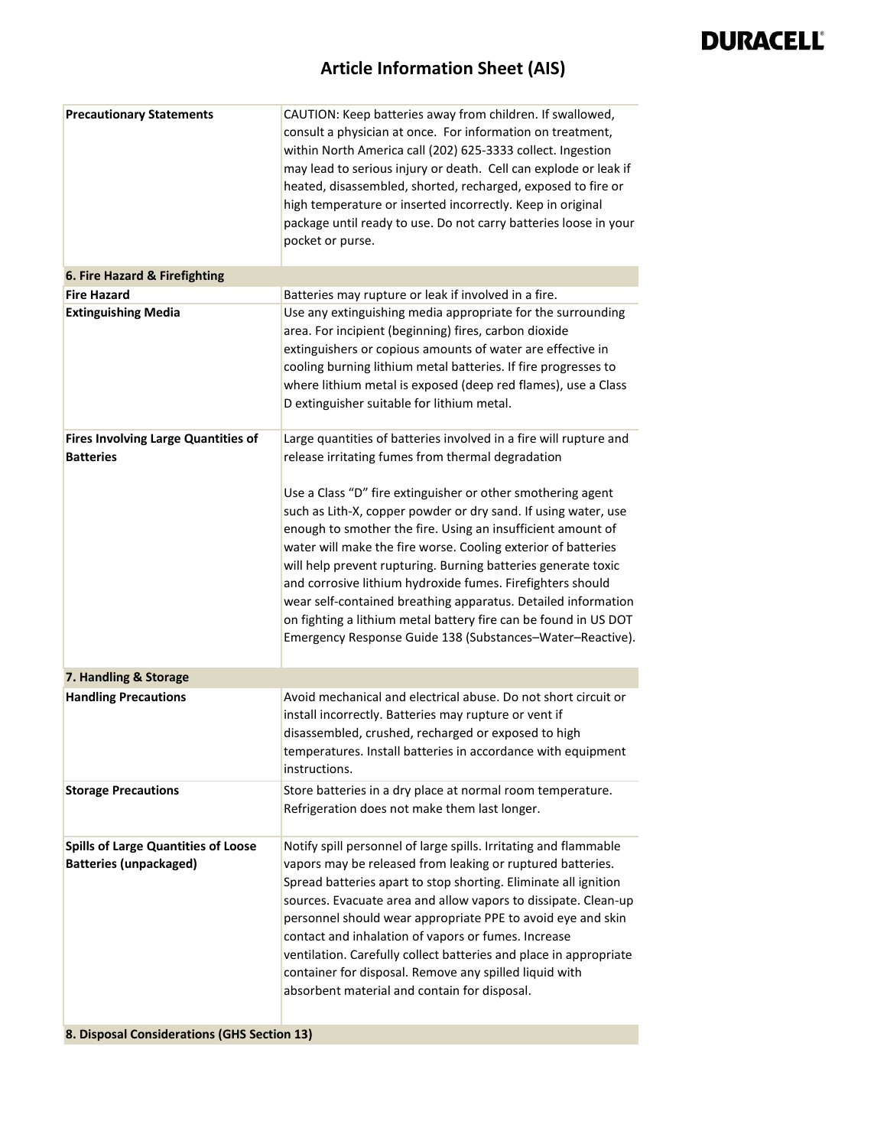| <b>Precautionary Statements</b>                                             | CAUTION: Keep batteries away from children. If swallowed,<br>consult a physician at once. For information on treatment,<br>within North America call (202) 625-3333 collect. Ingestion<br>may lead to serious injury or death. Cell can explode or leak if<br>heated, disassembled, shorted, recharged, exposed to fire or<br>high temperature or inserted incorrectly. Keep in original<br>package until ready to use. Do not carry batteries loose in your<br>pocket or purse.                                                                                                              |
|-----------------------------------------------------------------------------|-----------------------------------------------------------------------------------------------------------------------------------------------------------------------------------------------------------------------------------------------------------------------------------------------------------------------------------------------------------------------------------------------------------------------------------------------------------------------------------------------------------------------------------------------------------------------------------------------|
| 6. Fire Hazard & Firefighting                                               |                                                                                                                                                                                                                                                                                                                                                                                                                                                                                                                                                                                               |
| <b>Fire Hazard</b>                                                          | Batteries may rupture or leak if involved in a fire.                                                                                                                                                                                                                                                                                                                                                                                                                                                                                                                                          |
| <b>Extinguishing Media</b>                                                  | Use any extinguishing media appropriate for the surrounding<br>area. For incipient (beginning) fires, carbon dioxide<br>extinguishers or copious amounts of water are effective in<br>cooling burning lithium metal batteries. If fire progresses to<br>where lithium metal is exposed (deep red flames), use a Class<br>D extinguisher suitable for lithium metal.                                                                                                                                                                                                                           |
| <b>Fires Involving Large Quantities of</b><br><b>Batteries</b>              | Large quantities of batteries involved in a fire will rupture and<br>release irritating fumes from thermal degradation                                                                                                                                                                                                                                                                                                                                                                                                                                                                        |
|                                                                             | Use a Class "D" fire extinguisher or other smothering agent<br>such as Lith-X, copper powder or dry sand. If using water, use<br>enough to smother the fire. Using an insufficient amount of<br>water will make the fire worse. Cooling exterior of batteries<br>will help prevent rupturing. Burning batteries generate toxic<br>and corrosive lithium hydroxide fumes. Firefighters should<br>wear self-contained breathing apparatus. Detailed information<br>on fighting a lithium metal battery fire can be found in US DOT<br>Emergency Response Guide 138 (Substances-Water-Reactive). |
| 7. Handling & Storage                                                       |                                                                                                                                                                                                                                                                                                                                                                                                                                                                                                                                                                                               |
| <b>Handling Precautions</b>                                                 | Avoid mechanical and electrical abuse. Do not short circuit or<br>install incorrectly. Batteries may rupture or vent if<br>disassembled, crushed, recharged or exposed to high<br>temperatures. Install batteries in accordance with equipment<br>instructions.                                                                                                                                                                                                                                                                                                                               |
| <b>Storage Precautions</b>                                                  | Store batteries in a dry place at normal room temperature.<br>Refrigeration does not make them last longer.                                                                                                                                                                                                                                                                                                                                                                                                                                                                                   |
| <b>Spills of Large Quantities of Loose</b><br><b>Batteries (unpackaged)</b> | Notify spill personnel of large spills. Irritating and flammable<br>vapors may be released from leaking or ruptured batteries.<br>Spread batteries apart to stop shorting. Eliminate all ignition<br>sources. Evacuate area and allow vapors to dissipate. Clean-up<br>personnel should wear appropriate PPE to avoid eye and skin<br>contact and inhalation of vapors or fumes. Increase<br>ventilation. Carefully collect batteries and place in appropriate<br>container for disposal. Remove any spilled liquid with<br>absorbent material and contain for disposal.                      |
| 8. Disposal Considerations (GHS Section 13)                                 |                                                                                                                                                                                                                                                                                                                                                                                                                                                                                                                                                                                               |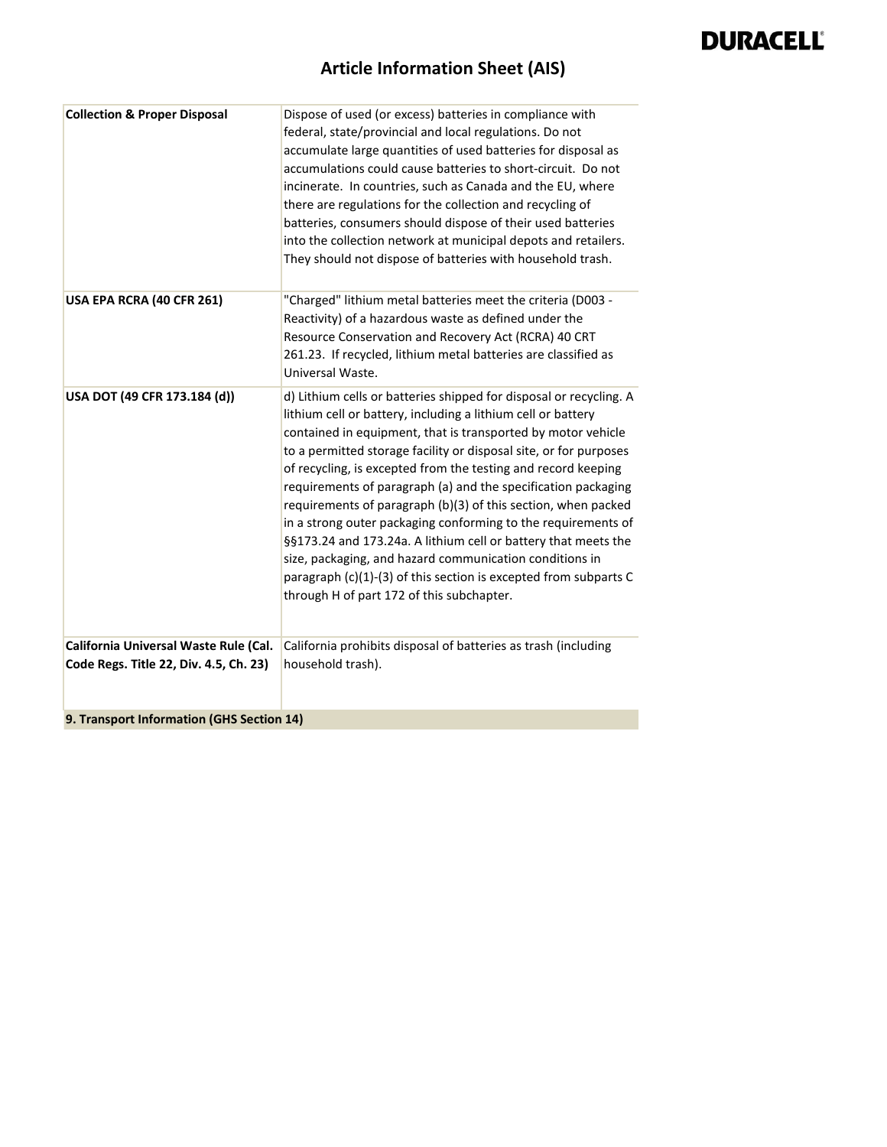| <b>Collection &amp; Proper Disposal</b>                                         | Dispose of used (or excess) batteries in compliance with<br>federal, state/provincial and local regulations. Do not<br>accumulate large quantities of used batteries for disposal as<br>accumulations could cause batteries to short-circuit. Do not<br>incinerate. In countries, such as Canada and the EU, where<br>there are regulations for the collection and recycling of<br>batteries, consumers should dispose of their used batteries<br>into the collection network at municipal depots and retailers.<br>They should not dispose of batteries with household trash.                                                                                                                                                                                                            |
|---------------------------------------------------------------------------------|-------------------------------------------------------------------------------------------------------------------------------------------------------------------------------------------------------------------------------------------------------------------------------------------------------------------------------------------------------------------------------------------------------------------------------------------------------------------------------------------------------------------------------------------------------------------------------------------------------------------------------------------------------------------------------------------------------------------------------------------------------------------------------------------|
| USA EPA RCRA (40 CFR 261)                                                       | "Charged" lithium metal batteries meet the criteria (D003 -<br>Reactivity) of a hazardous waste as defined under the<br>Resource Conservation and Recovery Act (RCRA) 40 CRT<br>261.23. If recycled, lithium metal batteries are classified as<br>Universal Waste.                                                                                                                                                                                                                                                                                                                                                                                                                                                                                                                        |
| USA DOT (49 CFR 173.184 (d))                                                    | d) Lithium cells or batteries shipped for disposal or recycling. A<br>lithium cell or battery, including a lithium cell or battery<br>contained in equipment, that is transported by motor vehicle<br>to a permitted storage facility or disposal site, or for purposes<br>of recycling, is excepted from the testing and record keeping<br>requirements of paragraph (a) and the specification packaging<br>requirements of paragraph (b)(3) of this section, when packed<br>in a strong outer packaging conforming to the requirements of<br>§§173.24 and 173.24a. A lithium cell or battery that meets the<br>size, packaging, and hazard communication conditions in<br>paragraph (c)(1)-(3) of this section is excepted from subparts C<br>through H of part 172 of this subchapter. |
| California Universal Waste Rule (Cal.<br>Code Regs. Title 22, Div. 4.5, Ch. 23) | California prohibits disposal of batteries as trash (including<br>household trash).                                                                                                                                                                                                                                                                                                                                                                                                                                                                                                                                                                                                                                                                                                       |
| 9. Transport Information (GHS Section 14)                                       |                                                                                                                                                                                                                                                                                                                                                                                                                                                                                                                                                                                                                                                                                                                                                                                           |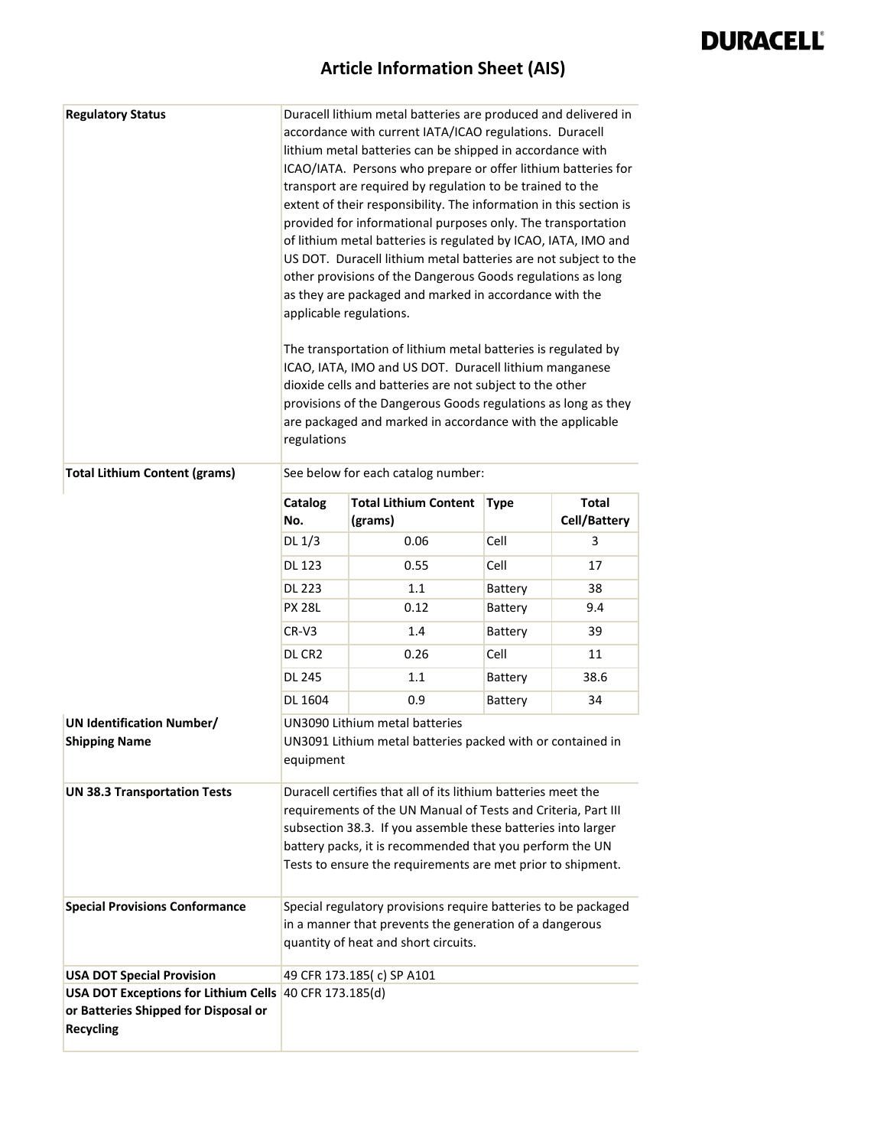| <b>Regulatory Status</b>                                                                                           | applicable regulations.<br>regulations                                                                                                                                                                                                                                                                                    | Duracell lithium metal batteries are produced and delivered in<br>accordance with current IATA/ICAO regulations. Duracell<br>lithium metal batteries can be shipped in accordance with<br>ICAO/IATA. Persons who prepare or offer lithium batteries for<br>transport are required by regulation to be trained to the<br>extent of their responsibility. The information in this section is<br>provided for informational purposes only. The transportation<br>of lithium metal batteries is regulated by ICAO, IATA, IMO and<br>US DOT. Duracell lithium metal batteries are not subject to the<br>other provisions of the Dangerous Goods regulations as long<br>as they are packaged and marked in accordance with the<br>The transportation of lithium metal batteries is regulated by<br>ICAO, IATA, IMO and US DOT. Duracell lithium manganese<br>dioxide cells and batteries are not subject to the other<br>provisions of the Dangerous Goods regulations as long as they<br>are packaged and marked in accordance with the applicable |             |                                     |
|--------------------------------------------------------------------------------------------------------------------|---------------------------------------------------------------------------------------------------------------------------------------------------------------------------------------------------------------------------------------------------------------------------------------------------------------------------|-----------------------------------------------------------------------------------------------------------------------------------------------------------------------------------------------------------------------------------------------------------------------------------------------------------------------------------------------------------------------------------------------------------------------------------------------------------------------------------------------------------------------------------------------------------------------------------------------------------------------------------------------------------------------------------------------------------------------------------------------------------------------------------------------------------------------------------------------------------------------------------------------------------------------------------------------------------------------------------------------------------------------------------------------|-------------|-------------------------------------|
| <b>Total Lithium Content (grams)</b>                                                                               |                                                                                                                                                                                                                                                                                                                           | See below for each catalog number:                                                                                                                                                                                                                                                                                                                                                                                                                                                                                                                                                                                                                                                                                                                                                                                                                                                                                                                                                                                                            |             |                                     |
|                                                                                                                    | Catalog<br>No.                                                                                                                                                                                                                                                                                                            | <b>Total Lithium Content</b><br>(grams)                                                                                                                                                                                                                                                                                                                                                                                                                                                                                                                                                                                                                                                                                                                                                                                                                                                                                                                                                                                                       | <b>Type</b> | <b>Total</b><br><b>Cell/Battery</b> |
|                                                                                                                    | DL $1/3$                                                                                                                                                                                                                                                                                                                  | 0.06                                                                                                                                                                                                                                                                                                                                                                                                                                                                                                                                                                                                                                                                                                                                                                                                                                                                                                                                                                                                                                          | Cell        | 3                                   |
|                                                                                                                    | DL 123                                                                                                                                                                                                                                                                                                                    | 0.55                                                                                                                                                                                                                                                                                                                                                                                                                                                                                                                                                                                                                                                                                                                                                                                                                                                                                                                                                                                                                                          | Cell        | 17                                  |
|                                                                                                                    | <b>DL 223</b>                                                                                                                                                                                                                                                                                                             | 1.1                                                                                                                                                                                                                                                                                                                                                                                                                                                                                                                                                                                                                                                                                                                                                                                                                                                                                                                                                                                                                                           | Battery     | 38                                  |
|                                                                                                                    | <b>PX 28L</b>                                                                                                                                                                                                                                                                                                             | 0.12                                                                                                                                                                                                                                                                                                                                                                                                                                                                                                                                                                                                                                                                                                                                                                                                                                                                                                                                                                                                                                          | Battery     | 9.4                                 |
|                                                                                                                    | $CR-V3$                                                                                                                                                                                                                                                                                                                   | 1.4                                                                                                                                                                                                                                                                                                                                                                                                                                                                                                                                                                                                                                                                                                                                                                                                                                                                                                                                                                                                                                           | Battery     | 39                                  |
|                                                                                                                    | DL CR <sub>2</sub>                                                                                                                                                                                                                                                                                                        | 0.26                                                                                                                                                                                                                                                                                                                                                                                                                                                                                                                                                                                                                                                                                                                                                                                                                                                                                                                                                                                                                                          | Cell        | 11                                  |
|                                                                                                                    | <b>DL 245</b>                                                                                                                                                                                                                                                                                                             | 1.1                                                                                                                                                                                                                                                                                                                                                                                                                                                                                                                                                                                                                                                                                                                                                                                                                                                                                                                                                                                                                                           | Battery     | 38.6                                |
|                                                                                                                    | DL 1604                                                                                                                                                                                                                                                                                                                   | 0.9                                                                                                                                                                                                                                                                                                                                                                                                                                                                                                                                                                                                                                                                                                                                                                                                                                                                                                                                                                                                                                           | Battery     | 34                                  |
| <b>UN Identification Number/</b><br><b>Shipping Name</b>                                                           | equipment                                                                                                                                                                                                                                                                                                                 | <b>UN3090 Lithium metal batteries</b><br>UN3091 Lithium metal batteries packed with or contained in                                                                                                                                                                                                                                                                                                                                                                                                                                                                                                                                                                                                                                                                                                                                                                                                                                                                                                                                           |             |                                     |
| <b>UN 38.3 Transportation Tests</b>                                                                                | Duracell certifies that all of its lithium batteries meet the<br>requirements of the UN Manual of Tests and Criteria, Part III<br>subsection 38.3. If you assemble these batteries into larger<br>battery packs, it is recommended that you perform the UN<br>Tests to ensure the requirements are met prior to shipment. |                                                                                                                                                                                                                                                                                                                                                                                                                                                                                                                                                                                                                                                                                                                                                                                                                                                                                                                                                                                                                                               |             |                                     |
| <b>Special Provisions Conformance</b>                                                                              | Special regulatory provisions require batteries to be packaged<br>in a manner that prevents the generation of a dangerous<br>quantity of heat and short circuits.                                                                                                                                                         |                                                                                                                                                                                                                                                                                                                                                                                                                                                                                                                                                                                                                                                                                                                                                                                                                                                                                                                                                                                                                                               |             |                                     |
| <b>USA DOT Special Provision</b>                                                                                   |                                                                                                                                                                                                                                                                                                                           | 49 CFR 173.185(c) SP A101                                                                                                                                                                                                                                                                                                                                                                                                                                                                                                                                                                                                                                                                                                                                                                                                                                                                                                                                                                                                                     |             |                                     |
| USA DOT Exceptions for Lithium Cells 40 CFR 173.185(d)<br>or Batteries Shipped for Disposal or<br><b>Recycling</b> |                                                                                                                                                                                                                                                                                                                           |                                                                                                                                                                                                                                                                                                                                                                                                                                                                                                                                                                                                                                                                                                                                                                                                                                                                                                                                                                                                                                               |             |                                     |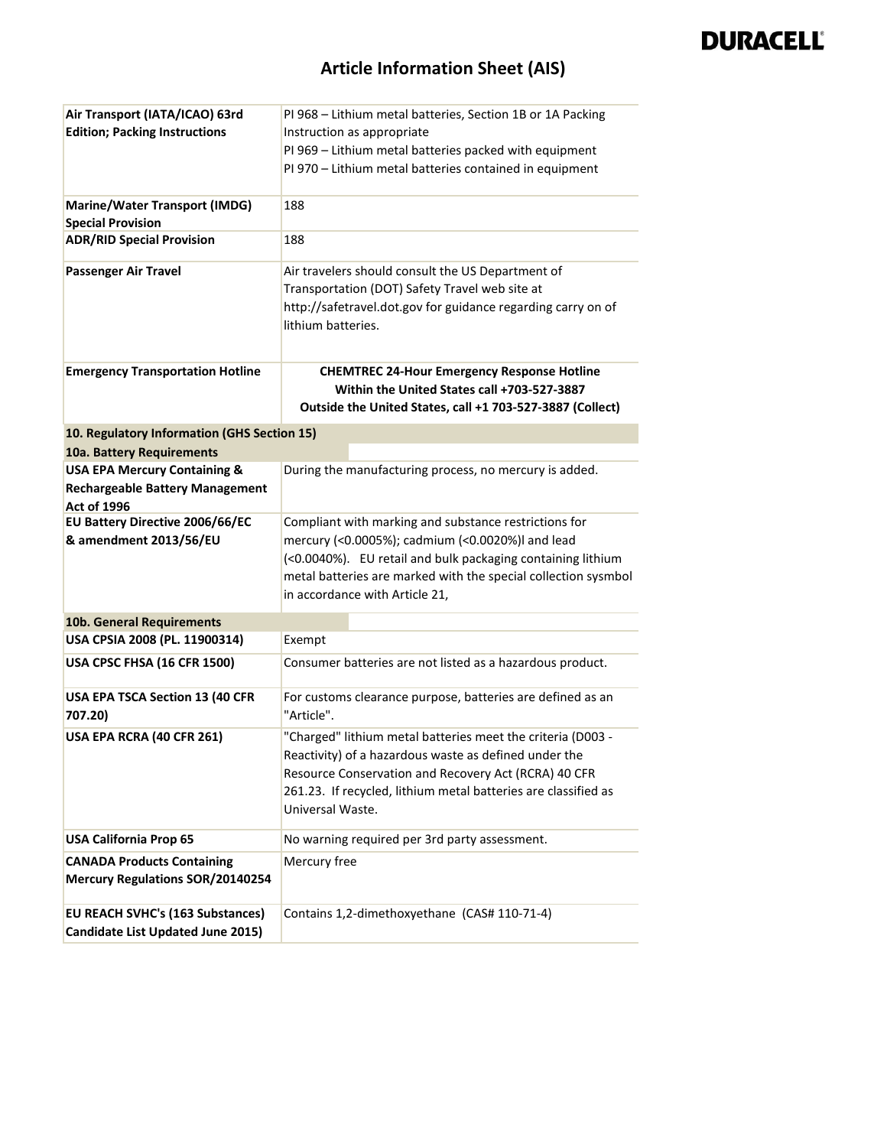| Air Transport (IATA/ICAO) 63rd                        | PI 968 - Lithium metal batteries, Section 1B or 1A Packing                                                |  |
|-------------------------------------------------------|-----------------------------------------------------------------------------------------------------------|--|
| <b>Edition; Packing Instructions</b>                  | Instruction as appropriate                                                                                |  |
|                                                       | PI 969 - Lithium metal batteries packed with equipment                                                    |  |
|                                                       | PI 970 - Lithium metal batteries contained in equipment                                                   |  |
|                                                       |                                                                                                           |  |
| <b>Marine/Water Transport (IMDG)</b>                  | 188                                                                                                       |  |
| <b>Special Provision</b>                              |                                                                                                           |  |
| <b>ADR/RID Special Provision</b>                      | 188                                                                                                       |  |
| <b>Passenger Air Travel</b>                           | Air travelers should consult the US Department of                                                         |  |
|                                                       | Transportation (DOT) Safety Travel web site at                                                            |  |
|                                                       | http://safetravel.dot.gov for guidance regarding carry on of                                              |  |
|                                                       | lithium batteries.                                                                                        |  |
|                                                       |                                                                                                           |  |
| <b>Emergency Transportation Hotline</b>               | <b>CHEMTREC 24-Hour Emergency Response Hotline</b>                                                        |  |
|                                                       | Within the United States call +703-527-3887                                                               |  |
|                                                       | Outside the United States, call +1 703-527-3887 (Collect)                                                 |  |
|                                                       |                                                                                                           |  |
| 10. Regulatory Information (GHS Section 15)           |                                                                                                           |  |
| 10a. Battery Requirements                             |                                                                                                           |  |
| <b>USA EPA Mercury Containing &amp;</b>               | During the manufacturing process, no mercury is added.                                                    |  |
| <b>Rechargeable Battery Management</b>                |                                                                                                           |  |
| <b>Act of 1996</b><br>EU Battery Directive 2006/66/EC |                                                                                                           |  |
| & amendment 2013/56/EU                                | Compliant with marking and substance restrictions for<br>mercury (<0.0005%); cadmium (<0.0020%)I and lead |  |
|                                                       | (<0.0040%). EU retail and bulk packaging containing lithium                                               |  |
|                                                       | metal batteries are marked with the special collection sysmbol                                            |  |
|                                                       | in accordance with Article 21,                                                                            |  |
|                                                       |                                                                                                           |  |
| 10b. General Requirements                             |                                                                                                           |  |
| USA CPSIA 2008 (PL. 11900314)                         | Exempt                                                                                                    |  |
| USA CPSC FHSA (16 CFR 1500)                           | Consumer batteries are not listed as a hazardous product.                                                 |  |
| USA EPA TSCA Section 13 (40 CFR<br>707.20)            | For customs clearance purpose, batteries are defined as an<br>"Article".                                  |  |
| USA EPA RCRA (40 CFR 261)                             | "Charged" lithium metal batteries meet the criteria (D003 -                                               |  |
|                                                       | Reactivity) of a hazardous waste as defined under the                                                     |  |
|                                                       | Resource Conservation and Recovery Act (RCRA) 40 CFR                                                      |  |
|                                                       | 261.23. If recycled, lithium metal batteries are classified as                                            |  |
|                                                       | Universal Waste.                                                                                          |  |
| <b>USA California Prop 65</b>                         | No warning required per 3rd party assessment.                                                             |  |
| <b>CANADA Products Containing</b>                     | Mercury free                                                                                              |  |
| <b>Mercury Regulations SOR/20140254</b>               |                                                                                                           |  |
|                                                       |                                                                                                           |  |
| <b>EU REACH SVHC's (163 Substances)</b>               | Contains 1,2-dimethoxyethane (CAS# 110-71-4)                                                              |  |
| Candidate List Updated June 2015)                     |                                                                                                           |  |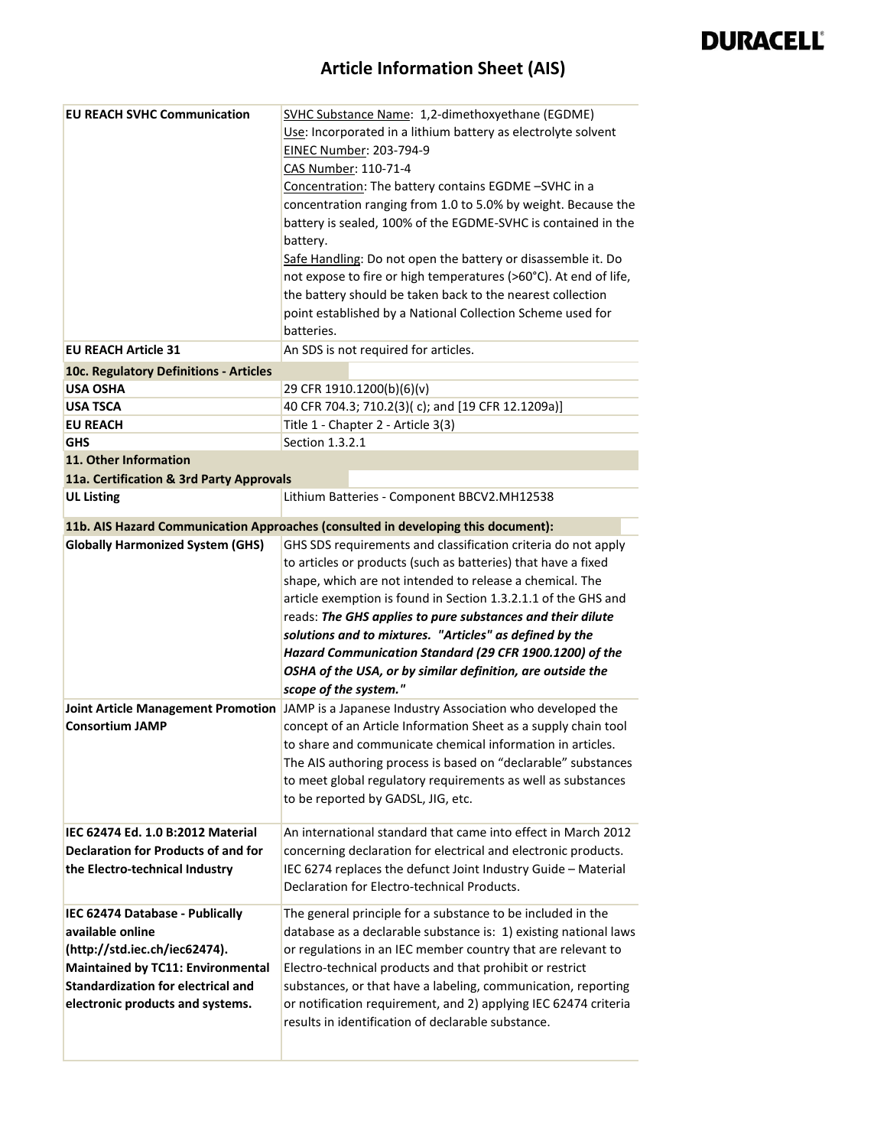| <b>EU REACH SVHC Communication</b>                                                                                                                                                                                | SVHC Substance Name: 1,2-dimethoxyethane (EGDME)<br>Use: Incorporated in a lithium battery as electrolyte solvent<br>EINEC Number: 203-794-9<br>CAS Number: 110-71-4<br>Concentration: The battery contains EGDME -SVHC in a<br>concentration ranging from 1.0 to 5.0% by weight. Because the<br>battery is sealed, 100% of the EGDME-SVHC is contained in the<br>battery.<br>Safe Handling: Do not open the battery or disassemble it. Do<br>not expose to fire or high temperatures (>60°C). At end of life,<br>the battery should be taken back to the nearest collection |
|-------------------------------------------------------------------------------------------------------------------------------------------------------------------------------------------------------------------|------------------------------------------------------------------------------------------------------------------------------------------------------------------------------------------------------------------------------------------------------------------------------------------------------------------------------------------------------------------------------------------------------------------------------------------------------------------------------------------------------------------------------------------------------------------------------|
|                                                                                                                                                                                                                   | point established by a National Collection Scheme used for<br>batteries.                                                                                                                                                                                                                                                                                                                                                                                                                                                                                                     |
| <b>EU REACH Article 31</b>                                                                                                                                                                                        | An SDS is not required for articles.                                                                                                                                                                                                                                                                                                                                                                                                                                                                                                                                         |
| 10c. Regulatory Definitions - Articles                                                                                                                                                                            |                                                                                                                                                                                                                                                                                                                                                                                                                                                                                                                                                                              |
| <b>USA OSHA</b>                                                                                                                                                                                                   | 29 CFR 1910.1200(b)(6)(v)                                                                                                                                                                                                                                                                                                                                                                                                                                                                                                                                                    |
| <b>USA TSCA</b>                                                                                                                                                                                                   | 40 CFR 704.3; 710.2(3)(c); and [19 CFR 12.1209a)]                                                                                                                                                                                                                                                                                                                                                                                                                                                                                                                            |
| <b>EU REACH</b>                                                                                                                                                                                                   | Title 1 - Chapter 2 - Article 3(3)                                                                                                                                                                                                                                                                                                                                                                                                                                                                                                                                           |
| <b>GHS</b>                                                                                                                                                                                                        | Section 1.3.2.1                                                                                                                                                                                                                                                                                                                                                                                                                                                                                                                                                              |
| 11. Other Information                                                                                                                                                                                             |                                                                                                                                                                                                                                                                                                                                                                                                                                                                                                                                                                              |
| 11a. Certification & 3rd Party Approvals                                                                                                                                                                          |                                                                                                                                                                                                                                                                                                                                                                                                                                                                                                                                                                              |
| <b>UL Listing</b>                                                                                                                                                                                                 | Lithium Batteries - Component BBCV2.MH12538                                                                                                                                                                                                                                                                                                                                                                                                                                                                                                                                  |
|                                                                                                                                                                                                                   | 11b. AIS Hazard Communication Approaches (consulted in developing this document):                                                                                                                                                                                                                                                                                                                                                                                                                                                                                            |
| <b>Globally Harmonized System (GHS)</b>                                                                                                                                                                           | GHS SDS requirements and classification criteria do not apply<br>to articles or products (such as batteries) that have a fixed<br>shape, which are not intended to release a chemical. The<br>article exemption is found in Section 1.3.2.1.1 of the GHS and<br>reads: The GHS applies to pure substances and their dilute<br>solutions and to mixtures. "Articles" as defined by the<br>Hazard Communication Standard (29 CFR 1900.1200) of the<br>OSHA of the USA, or by similar definition, are outside the<br>scope of the system."                                      |
| <b>Consortium JAMP</b>                                                                                                                                                                                            | Joint Article Management Promotion JAMP is a Japanese Industry Association who developed the<br>concept of an Article Information Sheet as a supply chain tool<br>to share and communicate chemical information in articles.<br>The AIS authoring process is based on "declarable" substances<br>to meet global regulatory requirements as well as substances<br>to be reported by GADSL, JIG, etc.                                                                                                                                                                          |
| IEC 62474 Ed. 1.0 B:2012 Material<br><b>Declaration for Products of and for</b><br>the Electro-technical Industry                                                                                                 | An international standard that came into effect in March 2012<br>concerning declaration for electrical and electronic products.<br>IEC 6274 replaces the defunct Joint Industry Guide - Material<br>Declaration for Electro-technical Products.                                                                                                                                                                                                                                                                                                                              |
| IEC 62474 Database - Publically<br>available online<br>(http://std.iec.ch/iec62474).<br><b>Maintained by TC11: Environmental</b><br><b>Standardization for electrical and</b><br>electronic products and systems. | The general principle for a substance to be included in the<br>database as a declarable substance is: 1) existing national laws<br>or regulations in an IEC member country that are relevant to<br>Electro-technical products and that prohibit or restrict<br>substances, or that have a labeling, communication, reporting<br>or notification requirement, and 2) applying IEC 62474 criteria<br>results in identification of declarable substance.                                                                                                                        |